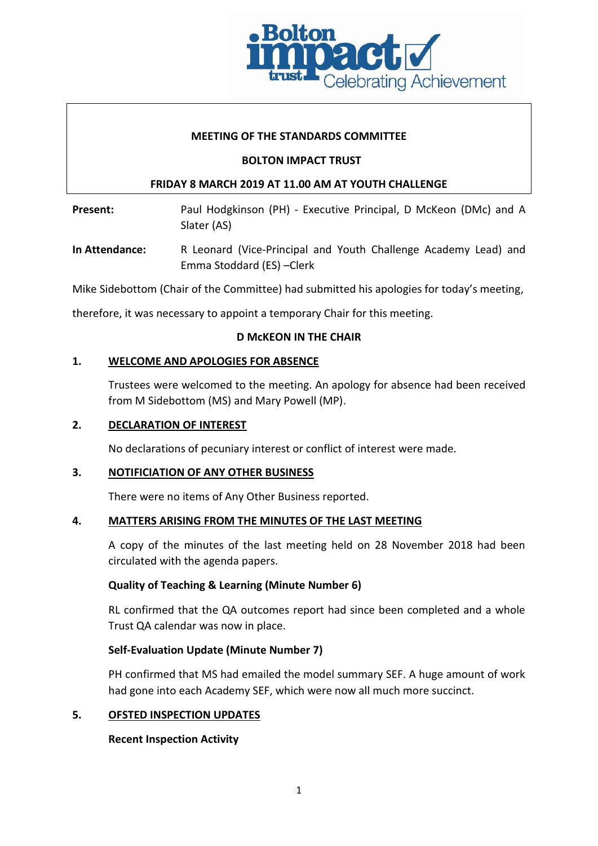

## **MEETING OF THE STANDARDS COMMITTEE**

### **BOLTON IMPACT TRUST**

## **FRIDAY 8 MARCH 2019 AT 11.00 AM AT YOUTH CHALLENGE**

Present: Paul Hodgkinson (PH) - Executive Principal, D McKeon (DMc) and A Slater (AS)

**In Attendance:** R Leonard (Vice-Principal and Youth Challenge Academy Lead) and Emma Stoddard (ES) –Clerk

Mike Sidebottom (Chair of the Committee) had submitted his apologies for today's meeting,

therefore, it was necessary to appoint a temporary Chair for this meeting.

## **D McKEON IN THE CHAIR**

## **1. WELCOME AND APOLOGIES FOR ABSENCE**

Trustees were welcomed to the meeting. An apology for absence had been received from M Sidebottom (MS) and Mary Powell (MP).

## **2. DECLARATION OF INTEREST**

No declarations of pecuniary interest or conflict of interest were made.

### **3. NOTIFICIATION OF ANY OTHER BUSINESS**

There were no items of Any Other Business reported.

### **4. MATTERS ARISING FROM THE MINUTES OF THE LAST MEETING**

A copy of the minutes of the last meeting held on 28 November 2018 had been circulated with the agenda papers.

# **Quality of Teaching & Learning (Minute Number 6)**

RL confirmed that the QA outcomes report had since been completed and a whole Trust QA calendar was now in place.

# **Self-Evaluation Update (Minute Number 7)**

PH confirmed that MS had emailed the model summary SEF. A huge amount of work had gone into each Academy SEF, which were now all much more succinct.

### **5. OFSTED INSPECTION UPDATES**

# **Recent Inspection Activity**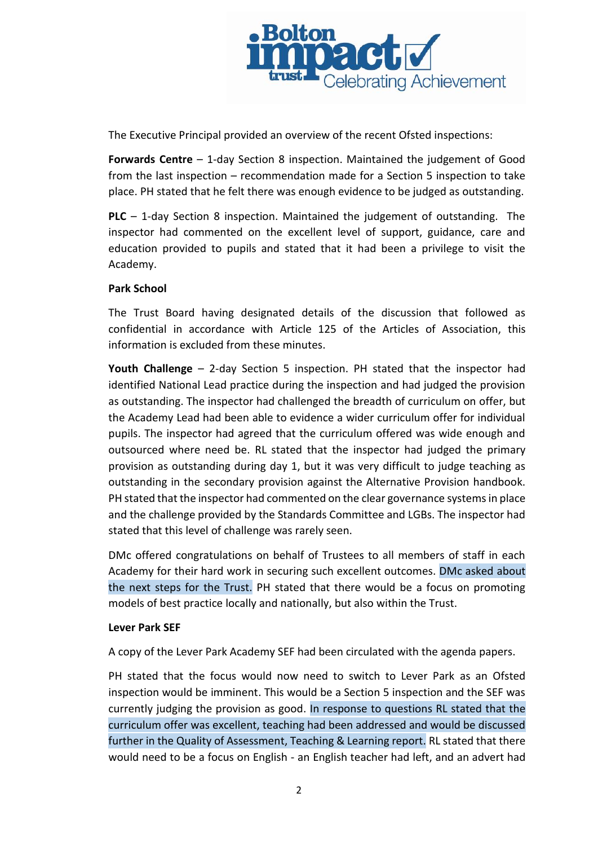

The Executive Principal provided an overview of the recent Ofsted inspections:

**Forwards Centre** – 1-day Section 8 inspection. Maintained the judgement of Good from the last inspection – recommendation made for a Section 5 inspection to take place. PH stated that he felt there was enough evidence to be judged as outstanding.

**PLC** – 1-day Section 8 inspection. Maintained the judgement of outstanding. The inspector had commented on the excellent level of support, guidance, care and education provided to pupils and stated that it had been a privilege to visit the Academy.

## **Park School**

The Trust Board having designated details of the discussion that followed as confidential in accordance with Article 125 of the Articles of Association, this information is excluded from these minutes.

**Youth Challenge** – 2-day Section 5 inspection. PH stated that the inspector had identified National Lead practice during the inspection and had judged the provision as outstanding. The inspector had challenged the breadth of curriculum on offer, but the Academy Lead had been able to evidence a wider curriculum offer for individual pupils. The inspector had agreed that the curriculum offered was wide enough and outsourced where need be. RL stated that the inspector had judged the primary provision as outstanding during day 1, but it was very difficult to judge teaching as outstanding in the secondary provision against the Alternative Provision handbook. PH stated that the inspector had commented on the clear governance systems in place and the challenge provided by the Standards Committee and LGBs. The inspector had stated that this level of challenge was rarely seen.

DMc offered congratulations on behalf of Trustees to all members of staff in each Academy for their hard work in securing such excellent outcomes. DMc asked about the next steps for the Trust. PH stated that there would be a focus on promoting models of best practice locally and nationally, but also within the Trust.

### **Lever Park SEF**

A copy of the Lever Park Academy SEF had been circulated with the agenda papers.

PH stated that the focus would now need to switch to Lever Park as an Ofsted inspection would be imminent. This would be a Section 5 inspection and the SEF was currently judging the provision as good. In response to questions RL stated that the curriculum offer was excellent, teaching had been addressed and would be discussed further in the Quality of Assessment, Teaching & Learning report. RL stated that there would need to be a focus on English - an English teacher had left, and an advert had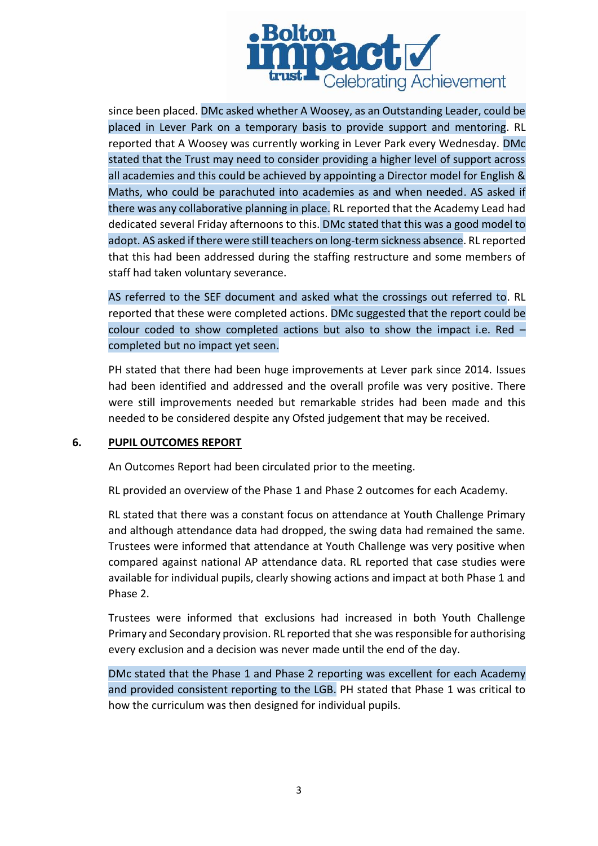

since been placed. DMc asked whether A Woosey, as an Outstanding Leader, could be placed in Lever Park on a temporary basis to provide support and mentoring. RL reported that A Woosey was currently working in Lever Park every Wednesday. DMc stated that the Trust may need to consider providing a higher level of support across all academies and this could be achieved by appointing a Director model for English & Maths, who could be parachuted into academies as and when needed. AS asked if there was any collaborative planning in place. RL reported that the Academy Lead had dedicated several Friday afternoons to this. DMc stated that this was a good model to adopt. AS asked if there were still teachers on long-term sickness absence. RL reported that this had been addressed during the staffing restructure and some members of staff had taken voluntary severance.

AS referred to the SEF document and asked what the crossings out referred to. RL reported that these were completed actions. DMc suggested that the report could be colour coded to show completed actions but also to show the impact i.e. Red – completed but no impact yet seen.

PH stated that there had been huge improvements at Lever park since 2014. Issues had been identified and addressed and the overall profile was very positive. There were still improvements needed but remarkable strides had been made and this needed to be considered despite any Ofsted judgement that may be received.

### **6. PUPIL OUTCOMES REPORT**

An Outcomes Report had been circulated prior to the meeting.

RL provided an overview of the Phase 1 and Phase 2 outcomes for each Academy.

RL stated that there was a constant focus on attendance at Youth Challenge Primary and although attendance data had dropped, the swing data had remained the same. Trustees were informed that attendance at Youth Challenge was very positive when compared against national AP attendance data. RL reported that case studies were available for individual pupils, clearly showing actions and impact at both Phase 1 and Phase 2.

Trustees were informed that exclusions had increased in both Youth Challenge Primary and Secondary provision. RL reported that she was responsible for authorising every exclusion and a decision was never made until the end of the day.

DMc stated that the Phase 1 and Phase 2 reporting was excellent for each Academy and provided consistent reporting to the LGB. PH stated that Phase 1 was critical to how the curriculum was then designed for individual pupils.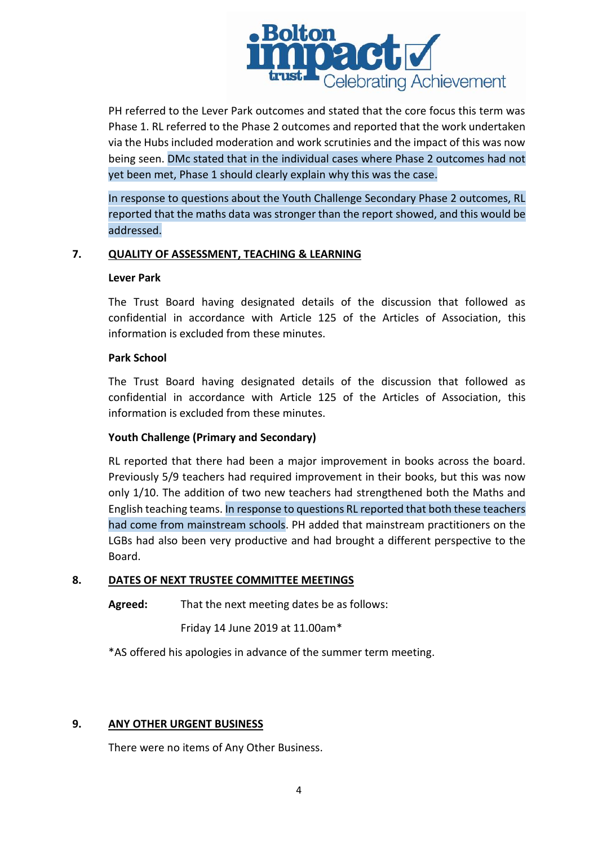

PH referred to the Lever Park outcomes and stated that the core focus this term was Phase 1. RL referred to the Phase 2 outcomes and reported that the work undertaken via the Hubs included moderation and work scrutinies and the impact of this was now being seen. DMc stated that in the individual cases where Phase 2 outcomes had not yet been met, Phase 1 should clearly explain why this was the case.

In response to questions about the Youth Challenge Secondary Phase 2 outcomes, RL reported that the maths data was stronger than the report showed, and this would be addressed.

## **7. QUALITY OF ASSESSMENT, TEACHING & LEARNING**

#### **Lever Park**

The Trust Board having designated details of the discussion that followed as confidential in accordance with Article 125 of the Articles of Association, this information is excluded from these minutes.

### **Park School**

The Trust Board having designated details of the discussion that followed as confidential in accordance with Article 125 of the Articles of Association, this information is excluded from these minutes.

# **Youth Challenge (Primary and Secondary)**

RL reported that there had been a major improvement in books across the board. Previously 5/9 teachers had required improvement in their books, but this was now only 1/10. The addition of two new teachers had strengthened both the Maths and English teaching teams. In response to questions RL reported that both these teachers had come from mainstream schools. PH added that mainstream practitioners on the LGBs had also been very productive and had brought a different perspective to the Board.

# **8. DATES OF NEXT TRUSTEE COMMITTEE MEETINGS**

**Agreed:** That the next meeting dates be as follows:

Friday 14 June 2019 at 11.00am\*

\*AS offered his apologies in advance of the summer term meeting.

# **9. ANY OTHER URGENT BUSINESS**

There were no items of Any Other Business.